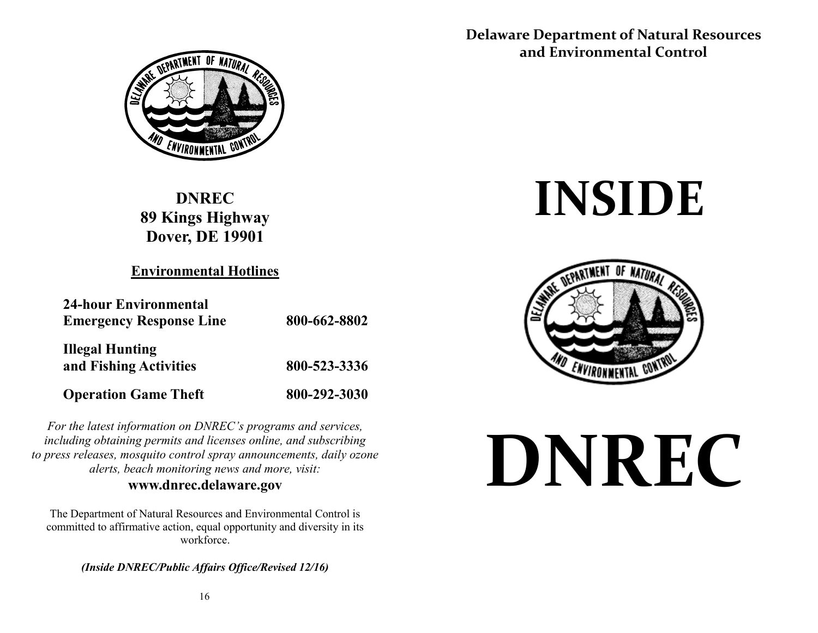**Delaware Department of Natural Resources and Environmental Control**



**DNREC 89 Kings Highway Dover, DE 19901**

# **Environmental Hotlines**

| <b>24-hour Environmental</b><br><b>Emergency Response Line</b> | 800-662-8802 |
|----------------------------------------------------------------|--------------|
| <b>Illegal Hunting</b><br>and Fishing Activities               | 800-523-3336 |
| <b>Operation Game Theft</b>                                    | 800-292-3030 |

*For the latest information on DNREC's programs and services, including obtaining permits and licenses online, and subscribing to press releases, mosquito control spray announcements, daily ozone alerts, beach monitoring news and more, visit:*

### **www.dnrec.delaware.gov**

The Department of Natural Resources and Environmental Control is committed to affirmative action, equal opportunity and diversity in its workforce.

*(Inside DNREC/Public Affairs Office/Revised 12/16)*

# **INSIDE**



# **DNREC**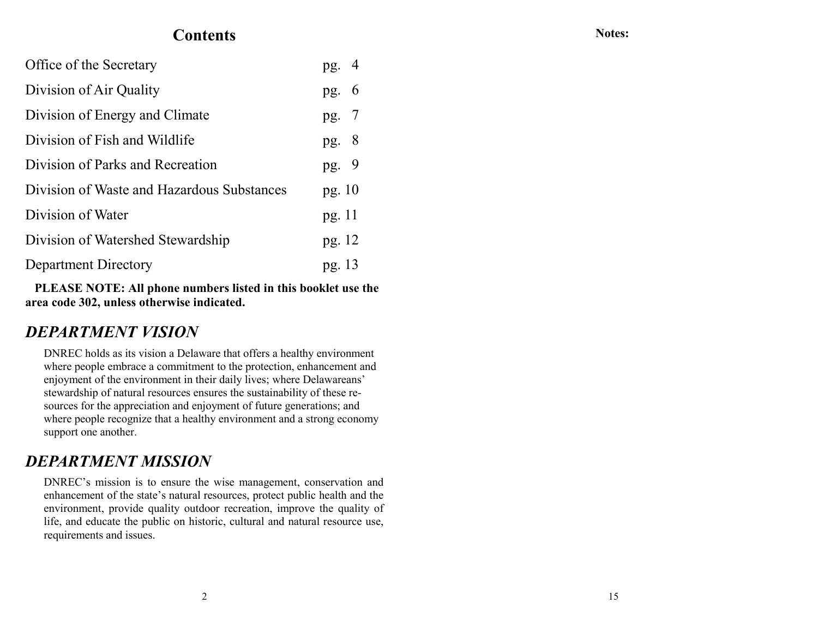# **Contents**

| Office of the Secretary                    | pg. $4$  |  |
|--------------------------------------------|----------|--|
| Division of Air Quality                    | pg. $6$  |  |
| Division of Energy and Climate             | pg. 7    |  |
| Division of Fish and Wildlife              | pg. 8    |  |
| Division of Parks and Recreation           | pg. 9    |  |
| Division of Waste and Hazardous Substances | pg. $10$ |  |
| Division of Water                          | pg. 11   |  |
| Division of Watershed Stewardship          | pg. 12   |  |
| <b>Department Directory</b>                | pg. 13   |  |

**PLEASE NOTE: All phone numbers listed in this booklet use the area code 302, unless otherwise indicated.**

# *DEPARTMENT VISION*

DNREC holds as its vision a Delaware that offers a healthy environment where people embrace a commitment to the protection, enhancement and enjoyment of the environment in their daily lives; where Delawareans' stewardship of natural resources ensures the sustainability of these resources for the appreciation and enjoyment of future generations; and where people recognize that a healthy environment and a strong economy support one another.

# *DEPARTMENT MISSION*

DNREC's mission is to ensure the wise management, conservation and enhancement of the state's natural resources, protect public health and the environment, provide quality outdoor recreation, improve the quality of life, and educate the public on historic, cultural and natural resource use, requirements and issues.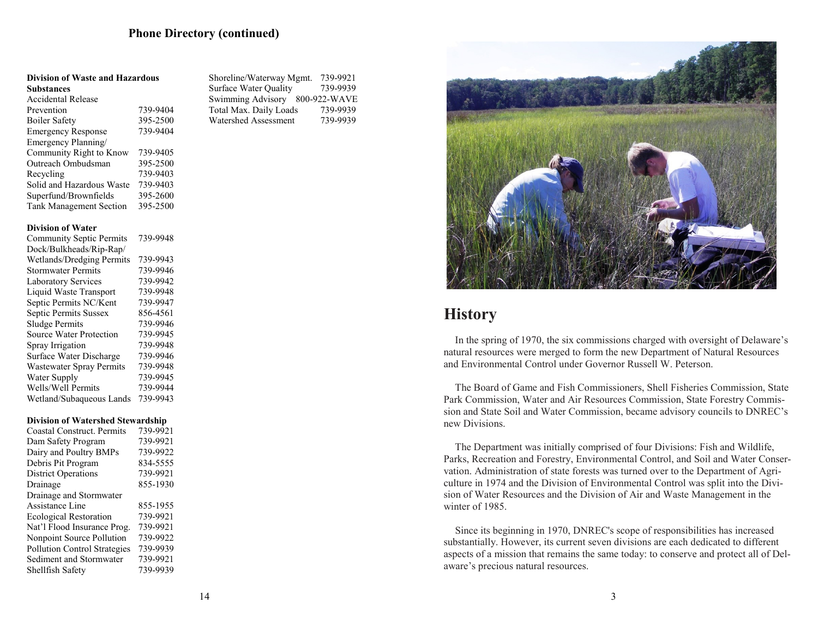#### **Phone Directory (continued)**

|  |  | Division of Waste and Hazardous |
|--|--|---------------------------------|
|--|--|---------------------------------|

| 739-9404 |
|----------|
| 395-2500 |
| 739-9404 |
|          |
| 739-9405 |
| 395-2500 |
| 739-9403 |
| 739-9403 |
| 395-2600 |
| 395-2500 |
|          |

Shoreline/Waterway Mgmt. 739-9921 Surface Water Quality 739-9939 Swimming Advisory 800-922-WAVE Total Max. Daily Loads 739-9939 Watershed Assessment 739-9939



## **History**

 In the spring of 1970, the six commissions charged with oversight of Delaware's natural resources were merged to form the new Department of Natural Resources and Environmental Control under Governor Russell W. Peterson.

 The Board of Game and Fish Commissioners, Shell Fisheries Commission, State Park Commission, Water and Air Resources Commission, State Forestry Commission and State Soil and Water Commission, became advisory councils to DNREC's new Divisions.

 The Department was initially comprised of four Divisions: Fish and Wildlife, Parks, Recreation and Forestry, Environmental Control, and Soil and Water Conservation. Administration of state forests was turned over to the Department of Agriculture in 1974 and the Division of Environmental Control was split into the Division of Water Resources and the Division of Air and Waste Management in the winter of 1985.

 Since its beginning in 1970, DNREC's scope of responsibilities has increased substantially. However, its current seven divisions are each dedicated to different aspects of a mission that remains the same today: to conserve and protect all of Delaware's precious natural resources.

| <b>Community Septic Permits</b> | 739-9948 |
|---------------------------------|----------|
| Dock/Bulkheads/Rip-Rap/         |          |
| Wetlands/Dredging Permits       | 739-9943 |
| <b>Stormwater Permits</b>       | 739-9946 |
| <b>Laboratory Services</b>      | 739-9942 |
| Liquid Waste Transport          | 739-9948 |
| Septic Permits NC/Kent          | 739-9947 |
| Septic Permits Sussex           | 856-4561 |
| <b>Sludge Permits</b>           | 739-9946 |
| <b>Source Water Protection</b>  | 739-9945 |
| Spray Irrigation                | 739-9948 |
| Surface Water Discharge         | 739-9946 |
| <b>Wastewater Spray Permits</b> | 739-9948 |
| Water Supply                    | 739-9945 |
| Wells/Well Permits              | 739-9944 |

**Division of Water**

#### **Division of Watershed Stewardship**

Wetland/Subaqueous Lands 739-9943

| Coastal Construct. Permits          | 739-9921 |
|-------------------------------------|----------|
| Dam Safety Program                  | 739-9921 |
| Dairy and Poultry BMPs              | 739-9922 |
| Debris Pit Program                  | 834-5555 |
| <b>District Operations</b>          | 739-9921 |
| Drainage                            | 855-1930 |
| Drainage and Stormwater             |          |
| Assistance Line                     | 855-1955 |
| <b>Ecological Restoration</b>       | 739-9921 |
| Nat'l Flood Insurance Prog.         | 739-9921 |
| <b>Nonpoint Source Pollution</b>    | 739-9922 |
| <b>Pollution Control Strategies</b> | 739-9939 |
| Sediment and Stormwater             | 739-9921 |
| Shellfish Safety                    | 739-9939 |
|                                     |          |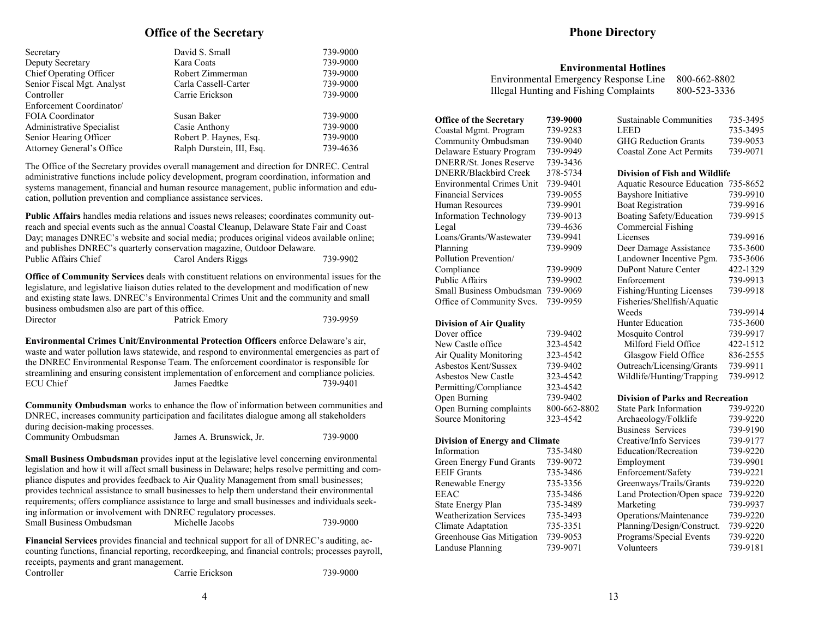#### **Office of the Secretary**

| Secretary                  | David S. Small            | 739-9000 |
|----------------------------|---------------------------|----------|
| Deputy Secretary           | Kara Coats                | 739-9000 |
| Chief Operating Officer    | Robert Zimmerman          | 739-9000 |
| Senior Fiscal Mgt. Analyst | Carla Cassell-Carter      | 739-9000 |
| Controller                 | Carrie Erickson           | 739-9000 |
| Enforcement Coordinator/   |                           |          |
| <b>FOIA Coordinator</b>    | Susan Baker               | 739-9000 |
| Administrative Specialist  | Casie Anthony             | 739-9000 |
| Senior Hearing Officer     | Robert P. Haynes, Esq.    | 739-9000 |
| Attorney General's Office  | Ralph Durstein, III, Esq. | 739-4636 |

The Office of the Secretary provides overall management and direction for DNREC. Central administrative functions include policy development, program coordination, information and systems management, financial and human resource management, public information and education, pollution prevention and compliance assistance services.

**Public Affairs** handles media relations and issues news releases; coordinates community outreach and special events such as the annual Coastal Cleanup, Delaware State Fair and Coast Day; manages DNREC's website and social media; produces original videos available online; and publishes DNREC's quarterly conservation magazine, Outdoor Delaware. Public Affairs Chief Carol Anders Riggs 739-9902

**Office of Community Services** deals with constituent relations on environmental issues for the legislature, and legislative liaison duties related to the development and modification of new and existing state laws. DNREC's Environmental Crimes Unit and the community and small business ombudsmen also are part of this office. Director Patrick Emory 739-9959

**Environmental Crimes Unit/Environmental Protection Officers** enforce Delaware's air, waste and water pollution laws statewide, and respond to environmental emergencies as part of the DNREC Environmental Response Team. The enforcement coordinator is responsible for streamlining and ensuring consistent implementation of enforcement and compliance policies. ECU Chief James Faedtke 739-9401

**Community Ombudsman** works to enhance the flow of information between communities and DNREC, increases community participation and facilitates dialogue among all stakeholders during decision-making processes.

| Community Ombudsman | James A. Brunswick, Jr. | 739-9000 |
|---------------------|-------------------------|----------|
|---------------------|-------------------------|----------|

**Small Business Ombudsman** provides input at the legislative level concerning environmental legislation and how it will affect small business in Delaware; helps resolve permitting and compliance disputes and provides feedback to Air Quality Management from small businesses; provides technical assistance to small businesses to help them understand their environmental requirements; offers compliance assistance to large and small businesses and individuals seeking information or involvement with DNREC regulatory processes. Small Business Ombudsman Michelle Jacobs 739-9000

**Financial Services** provides financial and technical support for all of DNREC's auditing, accounting functions, financial reporting, recordkeeping, and financial controls; processes payroll, receipts, payments and grant management.

| Controller | Carrie Erickson | 739-9000 |
|------------|-----------------|----------|
|            |                 |          |

#### **Phone Directory**

#### **Environmental Hotlines**

| Environmental Emergency Response Line  | 800-662-8802 |
|----------------------------------------|--------------|
| Illegal Hunting and Fishing Complaints | 800-523-3336 |

**Office of the Secretary 739-9000** Coastal Mgmt. Program 739-9283 Community Ombudsman 739-9040 Delaware Estuary Program 739-9949 DNERR/St. Jones Reserve 739-3436 DNERR/Blackbird Creek 378-5734 Environmental Crimes Unit 739-9401 Financial Services 739-9055 Human Resources 739-9901 Information Technology 739-9013 Legal 739-4636 Loans/Grants/Wastewater 739-9941 Planning 739-9909 Pollution Prevention/ Compliance 739-9909 Public Affairs 739-9902 Small Business Ombudsman 739-9069 Office of Community Svcs. 739-9959

#### **Division of Air Quality**

739-9402 323-4542 323-4542 739-9402 323-4542 323-4542 739-9402 800-662-8802 323-4542

| Dover office                  |
|-------------------------------|
| New Castle office             |
| <b>Air Quality Monitoring</b> |
| Asbestos Kent/Sussex          |
| <b>Asbestos New Castle</b>    |
| Permitting/Compliance         |
| Open Burning                  |
| Open Burning complaints       |
| Source Monitoring             |

#### **Division of Energy and Climate**

| Information                    | 735-3480 |
|--------------------------------|----------|
| Green Energy Fund Grants       | 739-9072 |
| <b>EEIF</b> Grants             | 735-3486 |
| Renewable Energy               | 735-3356 |
| <b>EEAC</b>                    | 735-3486 |
| <b>State Energy Plan</b>       | 735-3489 |
| <b>Weatherization Services</b> | 735-3493 |
| Climate Adaptation             | 735-3351 |
| Greenhouse Gas Mitigation      | 739-9053 |
| Landuse Planning               | 739-9071 |
|                                |          |

| Sustainable Communities     | 735-3495 |
|-----------------------------|----------|
| LEED                        | 735-3495 |
| <b>GHG Reduction Grants</b> | 739-9053 |
| Coastal Zone Act Permits    | 739-9071 |

#### **Division of Fish and Wildlife**

| <b>Aquatic Resource Education</b> | 735-8652 |
|-----------------------------------|----------|
| Bayshore Initiative               | 739-9910 |
| <b>Boat Registration</b>          | 739-9916 |
| Boating Safety/Education          | 739-9915 |
| Commercial Fishing                |          |
| Licenses                          | 739-9916 |
| Deer Damage Assistance            | 735-3600 |
| Landowner Incentive Pgm.          | 735-3606 |
| DuPont Nature Center              | 422-1329 |
| Enforcement                       | 739-9913 |
| Fishing/Hunting Licenses          | 739-9918 |
| Fisheries/Shellfish/Aquatic       |          |
| Weeds                             | 739-9914 |
| <b>Hunter Education</b>           | 735-3600 |
| Mosquito Control                  | 739-9917 |
| Milford Field Office              | 422-1512 |
| Glasgow Field Office              | 836-2555 |
| Outreach/Licensing/Grants         | 739-9911 |
| Wildlife/Hunting/Trapping         | 739-9912 |
|                                   |          |

#### **Division of Parks and Recreation**

| 739-9220 |
|----------|
| 739-9220 |
| 739-9190 |
| 739-9177 |
| 739-9220 |
| 739-9901 |
| 739-9221 |
| 739-9220 |
| 739-9220 |
| 739-9937 |
| 739-9220 |
| 739-9220 |
| 739-9220 |
| 739-9181 |
|          |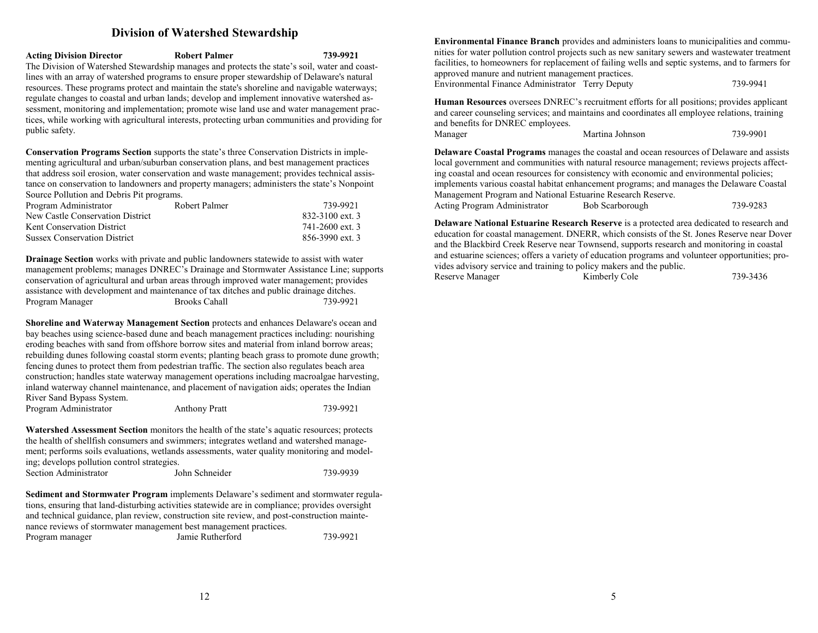#### **Division of Watershed Stewardship**

#### **Acting Division Director Robert Palmer 739-9921**

The Division of Watershed Stewardship manages and protects the state's soil, water and coastlines with an array of watershed programs to ensure proper stewardship of Delaware's natural resources. These programs protect and maintain the state's shoreline and navigable waterways; regulate changes to coastal and urban lands; develop and implement innovative watershed assessment, monitoring and implementation; promote wise land use and water management practices, while working with agricultural interests, protecting urban communities and providing for public safety.

**Conservation Programs Section** supports the state's three Conservation Districts in implementing agricultural and urban/suburban conservation plans, and best management practices that address soil erosion, water conservation and waste management; provides technical assistance on conservation to landowners and property managers; administers the state's Nonpoint Source Pollution and Debris Pit programs.

| Program Administrator               | Robert Palmer | 739-9921        |
|-------------------------------------|---------------|-----------------|
| New Castle Conservation District    |               | 832-3100 ext. 3 |
| <b>Kent Conservation District</b>   |               | 741-2600 ext. 3 |
| <b>Sussex Conservation District</b> |               | 856-3990 ext. 3 |

**Drainage Section** works with private and public landowners statewide to assist with water management problems; manages DNREC's Drainage and Stormwater Assistance Line; supports conservation of agricultural and urban areas through improved water management; provides assistance with development and maintenance of tax ditches and public drainage ditches. Program Manager Brooks Cahall 739-9921

**Shoreline and Waterway Management Section** protects and enhances Delaware's ocean and bay beaches using science-based dune and beach management practices including: nourishing eroding beaches with sand from offshore borrow sites and material from inland borrow areas; rebuilding dunes following coastal storm events; planting beach grass to promote dune growth; fencing dunes to protect them from pedestrian traffic. The section also regulates beach area construction; handles state waterway management operations including macroalgae harvesting, inland waterway channel maintenance, and placement of navigation aids; operates the Indian River Sand Bypass System.

| Program Administrator<br><b>Anthony Pratt</b> | 739-9921 |
|-----------------------------------------------|----------|

**Watershed Assessment Section** monitors the health of the state's aquatic resources; protects the health of shellfish consumers and swimmers; integrates wetland and watershed management; performs soils evaluations, wetlands assessments, water quality monitoring and modeling; develops pollution control strategies.

Section Administrator John Schneider 739-9939

**Sediment and Stormwater Program** implements Delaware's sediment and stormwater regulations, ensuring that land-disturbing activities statewide are in compliance; provides oversight and technical guidance, plan review, construction site review, and post-construction maintenance reviews of stormwater management best management practices. Program manager Jamie Rutherford 739-9921

**Environmental Finance Branch** provides and administers loans to municipalities and communities for water pollution control projects such as new sanitary sewers and wastewater treatment facilities, to homeowners for replacement of failing wells and septic systems, and to farmers for approved manure and nutrient management practices.

Environmental Finance Administrator Terry Deputy 739-9941

**Human Resources** oversees DNREC's recruitment efforts for all positions; provides applicant and career counseling services; and maintains and coordinates all employee relations, training and benefits for DNREC employees.

Manager Martina Johnson 739-9901

**Delaware Coastal Programs** manages the coastal and ocean resources of Delaware and assists local government and communities with natural resource management; reviews projects affecting coastal and ocean resources for consistency with economic and environmental policies; implements various coastal habitat enhancement programs; and manages the Delaware Coastal Management Program and National Estuarine Research Reserve. Acting Program Administrator Bob Scarborough 739-9283

**Delaware National Estuarine Research Reserve** is a protected area dedicated to research and education for coastal management. DNERR, which consists of the St. Jones Reserve near Dover and the Blackbird Creek Reserve near Townsend, supports research and monitoring in coastal and estuarine sciences; offers a variety of education programs and volunteer opportunities; provides advisory service and training to policy makers and the public.

|  | Reserve Manager | Kimberly Cole | 739-3436 |
|--|-----------------|---------------|----------|
|--|-----------------|---------------|----------|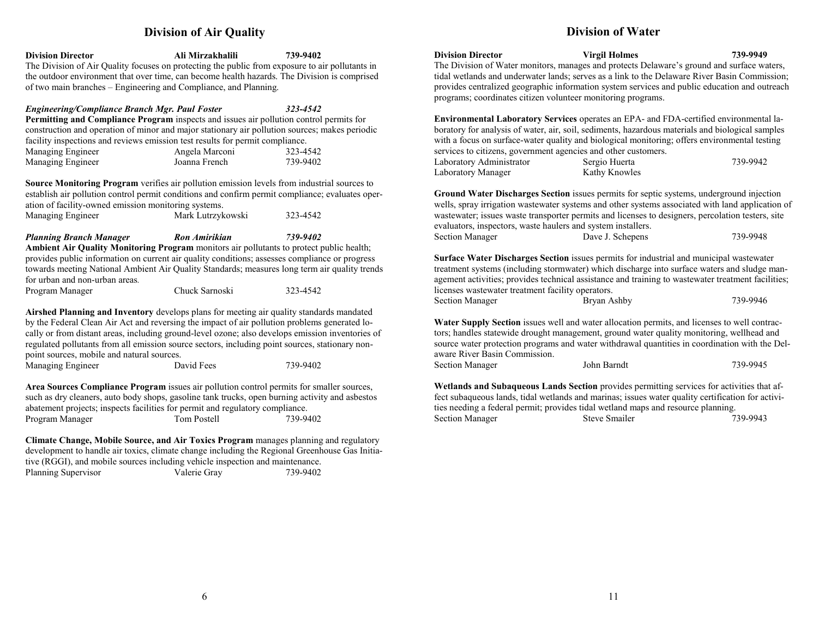#### **Division of Air Quality**

| <b>Division Director</b><br>The Division of Air Quality focuses on protecting the public from exposure to air pollutants in<br>the outdoor environment that over time, can become health hazards. The Division is comprised<br>of two main branches – Engineering and Compliance, and Planning.                                                   | Ali Mirzakhalili  | 739-9402             |
|---------------------------------------------------------------------------------------------------------------------------------------------------------------------------------------------------------------------------------------------------------------------------------------------------------------------------------------------------|-------------------|----------------------|
| Engineering/Compliance Branch Mgr. Paul Foster<br>Permitting and Compliance Program inspects and issues air pollution control permits for<br>construction and operation of minor and major stationary air pollution sources; makes periodic<br>facility inspections and reviews emission test results for permit compliance.<br>Managing Engineer | Angela Marconi    | 323-4542<br>323-4542 |
| Managing Engineer                                                                                                                                                                                                                                                                                                                                 | Joanna French     | 739-9402             |
| Source Monitoring Program verifies air pollution emission levels from industrial sources to<br>establish air pollution control permit conditions and confirm permit compliance; evaluates oper-<br>ation of facility-owned emission monitoring systems.<br>Managing Engineer                                                                      | Mark Lutrzykowski | 323-4542             |
| Planning Branch Manager                                                                                                                                                                                                                                                                                                                           | Ron Amirikian     | 739-9402             |
| Ambient Air Quality Monitoring Program monitors air pollutants to protect public health;                                                                                                                                                                                                                                                          |                   |                      |
| provides public information on current air quality conditions; assesses compliance or progress                                                                                                                                                                                                                                                    |                   |                      |
| towards meeting National Ambient Air Quality Standards; measures long term air quality trends<br>for urban and non-urban areas.                                                                                                                                                                                                                   |                   |                      |
| Program Manager                                                                                                                                                                                                                                                                                                                                   | Chuck Sarnoski    | 323-4542             |

**Airshed Planning and Inventory** develops plans for meeting air quality standards mandated by the Federal Clean Air Act and reversing the impact of air pollution problems generated locally or from distant areas, including ground-level ozone; also develops emission inventories of regulated pollutants from all emission source sectors, including point sources, stationary nonpoint sources, mobile and natural sources. Managing Engineer David Fees 739-9402

**Area Sources Compliance Program** issues air pollution control permits for smaller sources, such as dry cleaners, auto body shops, gasoline tank trucks, open burning activity and asbestos abatement projects; inspects facilities for permit and regulatory compliance. Program Manager Tom Postell 739-9402

**Climate Change, Mobile Source, and Air Toxics Program** manages planning and regulatory development to handle air toxics, climate change including the Regional Greenhouse Gas Initiative (RGGI), and mobile sources including vehicle inspection and maintenance. Planning Supervisor Valerie Gray 739-9402

#### **Division of Water**

| <b>Division Director</b>                                     | Virgil Holmes | 739-9949                                                                                      |
|--------------------------------------------------------------|---------------|-----------------------------------------------------------------------------------------------|
|                                                              |               | The Division of Water monitors, manages and protects Delaware's ground and surface waters,    |
|                                                              |               | tidal wetlands and underwater lands; serves as a link to the Delaware River Basin Commission; |
|                                                              |               | provides centralized geographic information system services and public education and outreach |
| programs; coordinates citizen volunteer monitoring programs. |               |                                                                                               |
|                                                              |               |                                                                                               |

**Environmental Laboratory Services** operates an EPA- and FDA-certified environmental laboratory for analysis of water, air, soil, sediments, hazardous materials and biological samples with a focus on surface-water quality and biological monitoring; offers environmental testing services to citizens, government agencies and other customers.

| Laboratory Administrator | Sergio Huerta | 739-9942 |
|--------------------------|---------------|----------|
| Laboratory Manager       | Kathy Knowles |          |

**Ground Water Discharges Section** issues permits for septic systems, underground injection wells, spray irrigation wastewater systems and other systems associated with land application of wastewater; issues waste transporter permits and licenses to designers, percolation testers, site evaluators, inspectors, waste haulers and system installers. Section Manager Dave J. Schepens 739-9948

**Surface Water Discharges Section** issues permits for industrial and municipal wastewater treatment systems (including stormwater) which discharge into surface waters and sludge management activities; provides technical assistance and training to wastewater treatment facilities; licenses wastewater treatment facility operators. Section Manager Bryan Ashby 739-9946

**Water Supply Section** issues well and water allocation permits, and licenses to well contractors; handles statewide drought management, ground water quality monitoring, wellhead and source water protection programs and water withdrawal quantities in coordination with the Delaware River Basin Commission. Section Manager John Barndt 739-9945

**Wetlands and Subaqueous Lands Section** provides permitting services for activities that affect subaqueous lands, tidal wetlands and marinas; issues water quality certification for activities needing a federal permit; provides tidal wetland maps and resource planning. Section Manager Steve Smailer 739-9943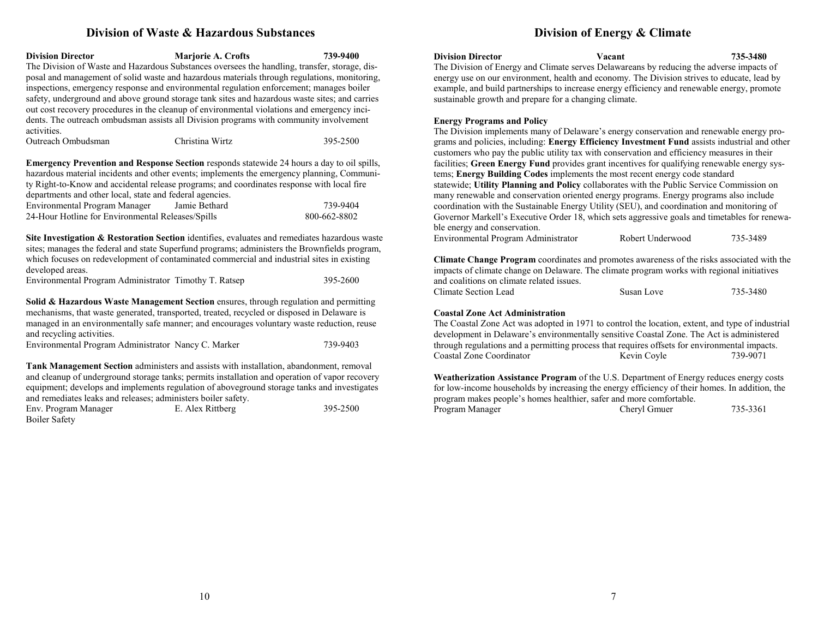#### **Division of Waste & Hazardous Substances**

| <b>Division Director</b><br>739-9400<br><b>Marjorie A. Crofts</b><br>The Division of Waste and Hazardous Substances oversees the handling, transfer, storage, dis-<br>posal and management of solid waste and hazardous materials through regulations, monitoring,<br>inspections, emergency response and environmental regulation enforcement; manages boiler<br>safety, underground and above ground storage tank sites and hazardous waste sites; and carries<br>out cost recovery procedures in the cleanup of environmental violations and emergency inci-<br>dents. The outreach ombudsman assists all Division programs with community involvement<br>activities. |                 |          |
|--------------------------------------------------------------------------------------------------------------------------------------------------------------------------------------------------------------------------------------------------------------------------------------------------------------------------------------------------------------------------------------------------------------------------------------------------------------------------------------------------------------------------------------------------------------------------------------------------------------------------------------------------------------------------|-----------------|----------|
| Outreach Ombudsman                                                                                                                                                                                                                                                                                                                                                                                                                                                                                                                                                                                                                                                       | Christina Wirtz | 395-2500 |
| <b>Emergency Prevention and Response Section</b> responds statewide 24 hours a day to oil spills,<br>hazardous material incidents and other events; implements the emergency planning, Communi-<br>ty Right-to-Know and accidental release programs; and coordinates response with local fire<br>departments and other local, state and federal agencies.<br>Environmental Program Manager Jamie Bethard<br>739-9404<br>24-Hour Hotline for Environmental Releases/Spills<br>800-662-8802                                                                                                                                                                                |                 |          |
| Site Investigation & Restoration Section identifies, evaluates and remediates hazardous waste<br>sites: manages the federal and state Superfund programs: administers the Brownfields program                                                                                                                                                                                                                                                                                                                                                                                                                                                                            |                 |          |

rederal and state Superfund programs; administers the Brownfield which focuses on redevelopment of contaminated commercial and industrial sites in existing developed areas.

| Environmental Program Administrator Timothy T. Ratsep |  | 395-2600 |
|-------------------------------------------------------|--|----------|
|-------------------------------------------------------|--|----------|

**Solid & Hazardous Waste Management Section** ensures, through regulation and permitting mechanisms, that waste generated, transported, treated, recycled or disposed in Delaware is managed in an environmentally safe manner; and encourages voluntary waste reduction, reuse and recycling activities.

| Environmental Program Administrator Nancy C. Marker |  | 739-9403 |
|-----------------------------------------------------|--|----------|
|-----------------------------------------------------|--|----------|

**Tank Management Section** administers and assists with installation, abandonment, removal and cleanup of underground storage tanks; permits installation and operation of vapor recovery equipment; develops and implements regulation of aboveground storage tanks and investigates and remediates leaks and releases; administers boiler safety. Env. Program Manager E. Alex Rittberg 395-2500

Boiler Safety

#### **Division of Energy & Climate**

**Division Director Vacant 735-3480**

The Division of Energy and Climate serves Delawareans by reducing the adverse impacts of energy use on our environment, health and economy. The Division strives to educate, lead by example, and build partnerships to increase energy efficiency and renewable energy, promote sustainable growth and prepare for a changing climate.

#### **Energy Programs and Policy**

The Division implements many of Delaware's energy conservation and renewable energy programs and policies, including: **Energy Efficiency Investment Fund** assists industrial and other customers who pay the public utility tax with conservation and efficiency measures in their facilities; **Green Energy Fund** provides grant incentives for qualifying renewable energy systems; **Energy Building Codes** implements the most recent energy code standard statewide; **Utility Planning and Policy** collaborates with the Public Service Commission on many renewable and conservation oriented energy programs. Energy programs also include coordination with the Sustainable Energy Utility (SEU), and coordination and monitoring of Governor Markell's Executive Order 18, which sets aggressive goals and timetables for renewable energy and conservation.

Environmental Program Administrator Robert Underwood 735-3489

**Climate Change Program** coordinates and promotes awareness of the risks associated with the impacts of climate change on Delaware. The climate program works with regional initiatives and coalitions on climate related issues. Climate Section Lead Susan Love 735-3480

#### **Coastal Zone Act Administration**

The Coastal Zone Act was adopted in 1971 to control the location, extent, and type of industrial development in Delaware's environmentally sensitive Coastal Zone. The Act is administered through regulations and a permitting process that requires offsets for environmental impacts. Coastal Zone Coordinator Kevin Coyle 739-9071

**Weatherization Assistance Program** of the U.S. Department of Energy reduces energy costs for low-income households by increasing the energy efficiency of their homes. In addition, the program makes people's homes healthier, safer and more comfortable. Program Manager Cheryl Gmuer 735-3361